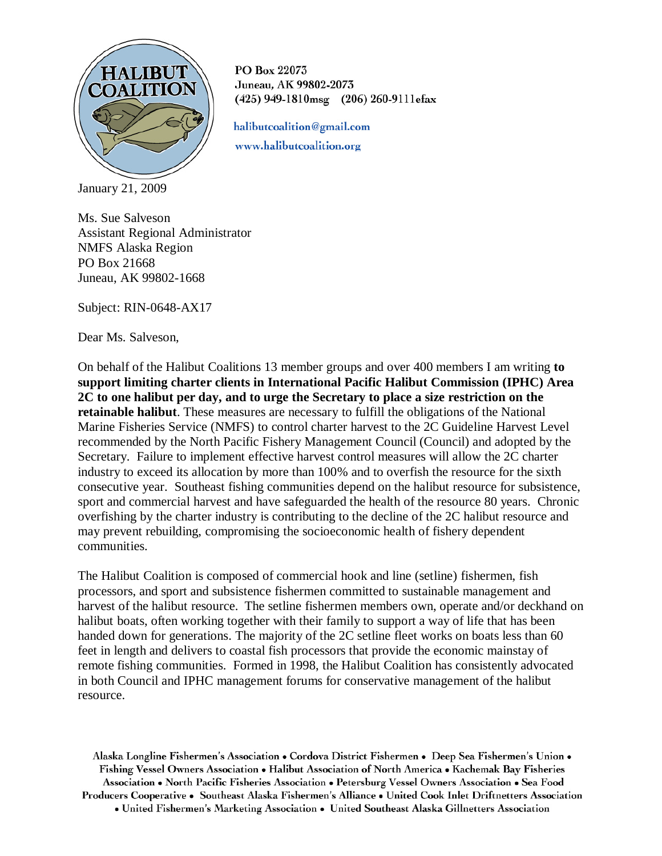

PO Box 22073 Juneau, AK 99802-2073 (425) 949-1810msg (206) 260-9111efax

halibutcoalition@gmail.com www.halibutcoalition.org

January 21, 2009

Ms. Sue Salveson Assistant Regional Administrator NMFS Alaska Region PO Box 21668 Juneau, AK 99802-1668

Subject: RIN-0648-AX17

Dear Ms. Salveson,

On behalf of the Halibut Coalitions 13 member groups and over 400 members I am writing **to support limiting charter clients in International Pacific Halibut Commission (IPHC) Area 2C to one halibut per day, and to urge the Secretary to place a size restriction on the retainable halibut**. These measures are necessary to fulfill the obligations of the National Marine Fisheries Service (NMFS) to control charter harvest to the 2C Guideline Harvest Level recommended by the North Pacific Fishery Management Council (Council) and adopted by the Secretary. Failure to implement effective harvest control measures will allow the 2C charter industry to exceed its allocation by more than 100% and to overfish the resource for the sixth consecutive year. Southeast fishing communities depend on the halibut resource for subsistence, sport and commercial harvest and have safeguarded the health of the resource 80 years. Chronic overfishing by the charter industry is contributing to the decline of the 2C halibut resource and may prevent rebuilding, compromising the socioeconomic health of fishery dependent communities.

The Halibut Coalition is composed of commercial hook and line (setline) fishermen, fish processors, and sport and subsistence fishermen committed to sustainable management and harvest of the halibut resource. The setline fishermen members own, operate and/or deckhand on halibut boats, often working together with their family to support a way of life that has been handed down for generations. The majority of the 2C setline fleet works on boats less than 60 feet in length and delivers to coastal fish processors that provide the economic mainstay of remote fishing communities. Formed in 1998, the Halibut Coalition has consistently advocated in both Council and IPHC management forums for conservative management of the halibut resource.

Alaska Longline Fishermen's Association • Cordova District Fishermen • Deep Sea Fishermen's Union • Fishing Vessel Owners Association • Halibut Association of North America • Kachemak Bay Fisheries Association • North Pacific Fisheries Association • Petersburg Vessel Owners Association • Sea Food Producers Cooperative • Southeast Alaska Fishermen's Alliance • United Cook Inlet Driftnetters Association • United Fishermen's Marketing Association • United Southeast Alaska Gillnetters Association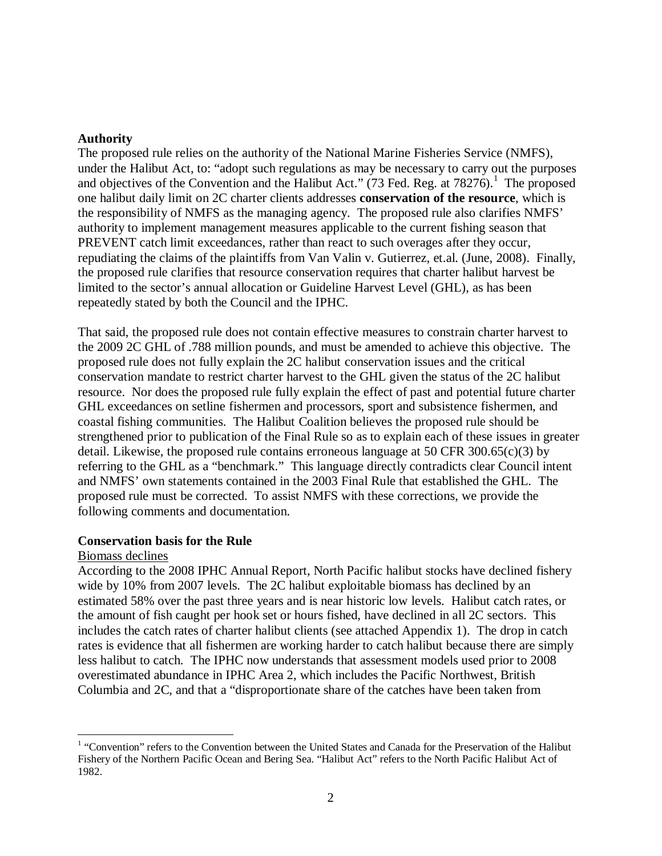### **Authority**

The proposed rule relies on the authority of the National Marine Fisheries Service (NMFS), under the Halibut Act, to: "adopt such regulations as may be necessary to carry out the purposes and objectives of the Convention and the Halibut Act."  $(73 \text{ Fed. Reg. at } 78276)$ .<sup>[1](#page-1-0)</sup> The proposed one halibut daily limit on 2C charter clients addresses **conservation of the resource**, which is the responsibility of NMFS as the managing agency. The proposed rule also clarifies NMFS' authority to implement management measures applicable to the current fishing season that PREVENT catch limit exceedances, rather than react to such overages after they occur, repudiating the claims of the plaintiffs from Van Valin v. Gutierrez, et.al. (June, 2008). Finally, the proposed rule clarifies that resource conservation requires that charter halibut harvest be limited to the sector's annual allocation or Guideline Harvest Level (GHL), as has been repeatedly stated by both the Council and the IPHC.

That said, the proposed rule does not contain effective measures to constrain charter harvest to the 2009 2C GHL of .788 million pounds, and must be amended to achieve this objective. The proposed rule does not fully explain the 2C halibut conservation issues and the critical conservation mandate to restrict charter harvest to the GHL given the status of the 2C halibut resource. Nor does the proposed rule fully explain the effect of past and potential future charter GHL exceedances on setline fishermen and processors, sport and subsistence fishermen, and coastal fishing communities. The Halibut Coalition believes the proposed rule should be strengthened prior to publication of the Final Rule so as to explain each of these issues in greater detail. Likewise, the proposed rule contains erroneous language at 50 CFR 300.65 $(c)(3)$  by referring to the GHL as a "benchmark." This language directly contradicts clear Council intent and NMFS' own statements contained in the 2003 Final Rule that established the GHL. The proposed rule must be corrected. To assist NMFS with these corrections, we provide the following comments and documentation.

#### **Conservation basis for the Rule**

#### Biomass declines

According to the 2008 IPHC Annual Report, North Pacific halibut stocks have declined fishery wide by 10% from 2007 levels. The 2C halibut exploitable biomass has declined by an estimated 58% over the past three years and is near historic low levels. Halibut catch rates, or the amount of fish caught per hook set or hours fished, have declined in all 2C sectors. This includes the catch rates of charter halibut clients (see attached Appendix 1). The drop in catch rates is evidence that all fishermen are working harder to catch halibut because there are simply less halibut to catch. The IPHC now understands that assessment models used prior to 2008 overestimated abundance in IPHC Area 2, which includes the Pacific Northwest, British Columbia and 2C, and that a "disproportionate share of the catches have been taken from

<span id="page-1-1"></span><span id="page-1-0"></span><sup>&</sup>lt;sup>1</sup> "Convention" refers to the Convention between the United States and Canada for the Preservation of the Halibut Fishery of the Northern Pacific Ocean and Bering Sea. "Halibut Act" refers to the North Pacific Halibut Act of 1982.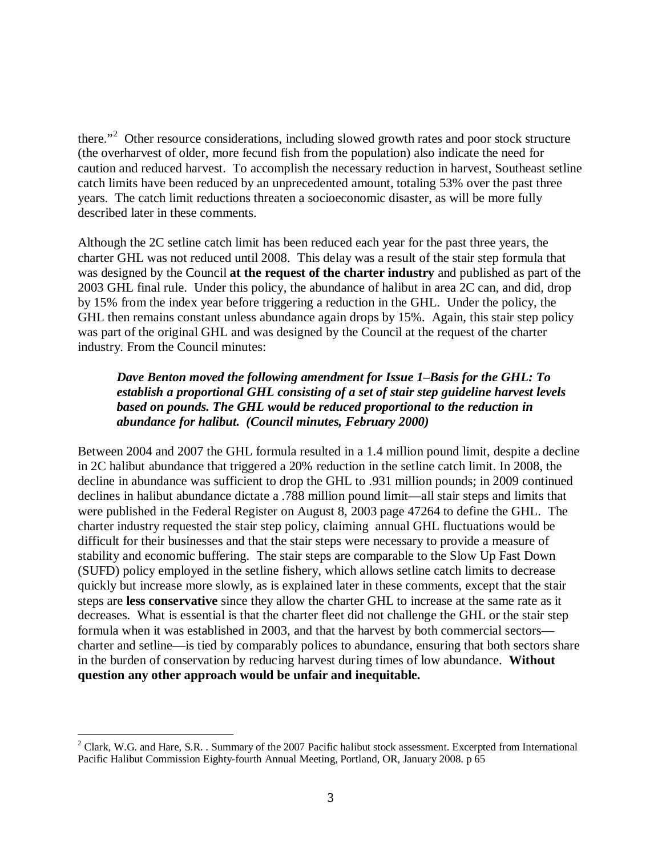there."<sup>[2](#page-1-1)</sup> Other resource considerations, including slowed growth rates and poor stock structure (the overharvest of older, more fecund fish from the population) also indicate the need for caution and reduced harvest. To accomplish the necessary reduction in harvest, Southeast setline catch limits have been reduced by an unprecedented amount, totaling 53% over the past three years. The catch limit reductions threaten a socioeconomic disaster, as will be more fully described later in these comments.

Although the 2C setline catch limit has been reduced each year for the past three years, the charter GHL was not reduced until 2008. This delay was a result of the stair step formula that was designed by the Council **at the request of the charter industry** and published as part of the 2003 GHL final rule. Under this policy, the abundance of halibut in area 2C can, and did, drop by 15% from the index year before triggering a reduction in the GHL. Under the policy, the GHL then remains constant unless abundance again drops by 15%. Again, this stair step policy was part of the original GHL and was designed by the Council at the request of the charter industry. From the Council minutes:

## *Dave Benton moved the following amendment for Issue 1–Basis for the GHL: To establish a proportional GHL consisting of a set of stair step guideline harvest levels based on pounds. The GHL would be reduced proportional to the reduction in abundance for halibut. (Council minutes, February 2000)*

Between 2004 and 2007 the GHL formula resulted in a 1.4 million pound limit, despite a decline in 2C halibut abundance that triggered a 20% reduction in the setline catch limit. In 2008, the decline in abundance was sufficient to drop the GHL to .931 million pounds; in 2009 continued declines in halibut abundance dictate a .788 million pound limit—all stair steps and limits that were published in the Federal Register on August 8, 2003 page 47264 to define the GHL. The charter industry requested the stair step policy, claiming annual GHL fluctuations would be difficult for their businesses and that the stair steps were necessary to provide a measure of stability and economic buffering. The stair steps are comparable to the Slow Up Fast Down (SUFD) policy employed in the setline fishery, which allows setline catch limits to decrease quickly but increase more slowly, as is explained later in these comments, except that the stair steps are **less conservative** since they allow the charter GHL to increase at the same rate as it decreases. What is essential is that the charter fleet did not challenge the GHL or the stair step formula when it was established in 2003, and that the harvest by both commercial sectors charter and setline—is tied by comparably polices to abundance, ensuring that both sectors share in the burden of conservation by reducing harvest during times of low abundance. **Without question any other approach would be unfair and inequitable.**

 $2$  Clark, W.G. and Hare, S.R. . Summary of the 2007 Pacific halibut stock assessment. Excerpted from International Pacific Halibut Commission Eighty-fourth Annual Meeting, Portland, OR, January 2008. p 65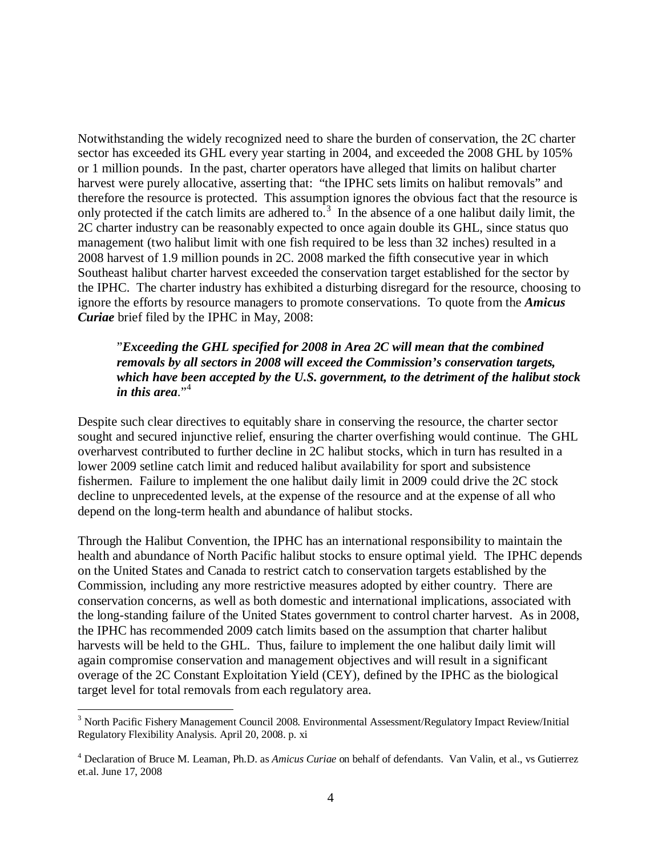Notwithstanding the widely recognized need to share the burden of conservation, the 2C charter sector has exceeded its GHL every year starting in 2004, and exceeded the 2008 GHL by 105% or 1 million pounds. In the past, charter operators have alleged that limits on halibut charter harvest were purely allocative, asserting that: "the IPHC sets limits on halibut removals" and therefore the resource is protected. This assumption ignores the obvious fact that the resource is only protected if the catch limits are adhered to.<sup>[3](#page-3-0)</sup> In the absence of a one halibut daily limit, the 2C charter industry can be reasonably expected to once again double its GHL, since status quo management (two halibut limit with one fish required to be less than 32 inches) resulted in a 2008 harvest of 1.9 million pounds in 2C. 2008 marked the fifth consecutive year in which Southeast halibut charter harvest exceeded the conservation target established for the sector by the IPHC. The charter industry has exhibited a disturbing disregard for the resource, choosing to ignore the efforts by resource managers to promote conservations. To quote from the *Amicus Curiae* brief filed by the IPHC in May, 2008:

## "*Exceeding the GHL specified for 2008 in Area 2C will mean that the combined removals by all sectors in 2008 will exceed the Commission's conservation targets, which have been accepted by the U.S. government, to the detriment of the halibut stock in this area*." [4](#page-3-1)

Despite such clear directives to equitably share in conserving the resource, the charter sector sought and secured injunctive relief, ensuring the charter overfishing would continue. The GHL overharvest contributed to further decline in 2C halibut stocks, which in turn has resulted in a lower 2009 setline catch limit and reduced halibut availability for sport and subsistence fishermen. Failure to implement the one halibut daily limit in 2009 could drive the 2C stock decline to unprecedented levels, at the expense of the resource and at the expense of all who depend on the long-term health and abundance of halibut stocks.

Through the Halibut Convention, the IPHC has an international responsibility to maintain the health and abundance of North Pacific halibut stocks to ensure optimal yield. The IPHC depends on the United States and Canada to restrict catch to conservation targets established by the Commission, including any more restrictive measures adopted by either country. There are conservation concerns, as well as both domestic and international implications, associated with the long-standing failure of the United States government to control charter harvest. As in 2008, the IPHC has recommended 2009 catch limits based on the assumption that charter halibut harvests will be held to the GHL. Thus, failure to implement the one halibut daily limit will again compromise conservation and management objectives and will result in a significant overage of the 2C Constant Exploitation Yield (CEY), defined by the IPHC as the biological target level for total removals from each regulatory area.

<span id="page-3-0"></span><sup>&</sup>lt;sup>3</sup> North Pacific Fishery Management Council 2008. Environmental Assessment/Regulatory Impact Review/Initial Regulatory Flexibility Analysis. April 20, 2008. p. xi

<span id="page-3-1"></span><sup>4</sup> Declaration of Bruce M. Leaman, Ph.D. as *Amicus Curiae* on behalf of defendants. Van Valin, et al., vs Gutierrez et.al. June 17, 2008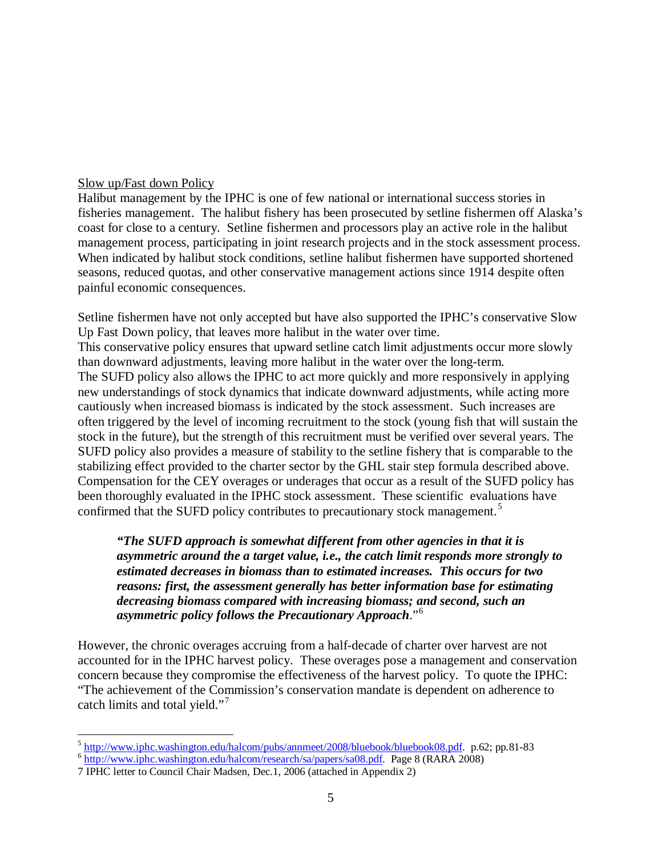## Slow up/Fast down Policy

Halibut management by the IPHC is one of few national or international success stories in fisheries management. The halibut fishery has been prosecuted by setline fishermen off Alaska's coast for close to a century. Setline fishermen and processors play an active role in the halibut management process, participating in joint research projects and in the stock assessment process. When indicated by halibut stock conditions, setline halibut fishermen have supported shortened seasons, reduced quotas, and other conservative management actions since 1914 despite often painful economic consequences.

The SUFD policy also allows the IPHC to act more quickly and more responsively in applying new understandings of stock dynamics that indicate downward adjustments, while acting more cautiously when increased biomass is indicated by the stock assessment. Such increases are often triggered by the level of incoming recruitment to the stock (young fish that will sustain the stock in the future), but the strength of this recruitment must be verified over several years. The SUFD policy also provides a measure of stability to the setline fishery that is comparable to the stabilizing effect provided to the charter sector by the GHL stair step formula described above. Compensation for the CEY overages or underages that occur as a result of the SUFD policy has been thoroughly evaluated in the IPHC stock assessment. These scientific evaluations have Setline fishermen have not only accepted but have also supported the IPHC's conservative Slow Up Fast Down policy, that leaves more halibut in the water over time. This conservative policy ensures that upward setline catch limit adjustments occur more slowly than downward adjustments, leaving more halibut in the water over the long-term.

confirmed that the SUFD policy contributes to precautionary stock management. [5](#page-4-0)

*"The SUFD approach is somewhat different from other agencies in that it is asymmetric around the a target value, i.e., the catch limit responds more strongly to estimated decreases in biomass than to estimated increases. This occurs for two reasons: first, the assessment generally has better information base for estimating decreasing biomass compared with increasing biomass; and second, such an asymmetric policy follows the Precautionary Approach*." [6](#page-4-1)

However, the chronic overages accruing from a half-decade of charter over harvest are not accounted for in the IPHC harvest policy. These overages pose a management and conservation concern because they compromise the effectiveness of the harvest policy. To quote the IPHC: "The achievement of the Commission's conservation mandate is dependent on adherence to catch limits and total yield."

<span id="page-4-0"></span> $\frac{5 \text{ http://www.iphc.washington.edu/halcom/pubs/annmeet/2008/bluebook/bluebook08.pdf.}}{6 \text{ http://www.iphc.washington.edu/halcom/research/sa/papers/sa08.pdf.}}$  $\frac{5 \text{ http://www.iphc.washington.edu/halcom/pubs/annmeet/2008/bluebook/bluebook08.pdf.}}{6 \text{ http://www.iphc.washington.edu/halcom/research/sa/papers/sa08.pdf.}}$  $\frac{5 \text{ http://www.iphc.washington.edu/halcom/pubs/annmeet/2008/bluebook/bluebook08.pdf.}}{6 \text{ http://www.iphc.washington.edu/halcom/research/sa/papers/sa08.pdf.}}$  $\frac{5 \text{ http://www.iphc.washington.edu/halcom/pubs/annmeet/2008/bluebook/bluebook08.pdf.}}{6 \text{ http://www.iphc.washington.edu/halcom/research/sa/papers/sa08.pdf.}}$  $\frac{5 \text{ http://www.iphc.washington.edu/halcom/pubs/annmeet/2008/bluebook/bluebook08.pdf.}}{6 \text{ http://www.iphc.washington.edu/halcom/research/sa/papers/sa08.pdf.}}$  Page 8 (RARA 2008)

<span id="page-4-1"></span>

<span id="page-4-2"></span><sup>7</sup> IPHC letter to Council Chair Madsen, Dec.1, 2006 (attached in Appendix 2)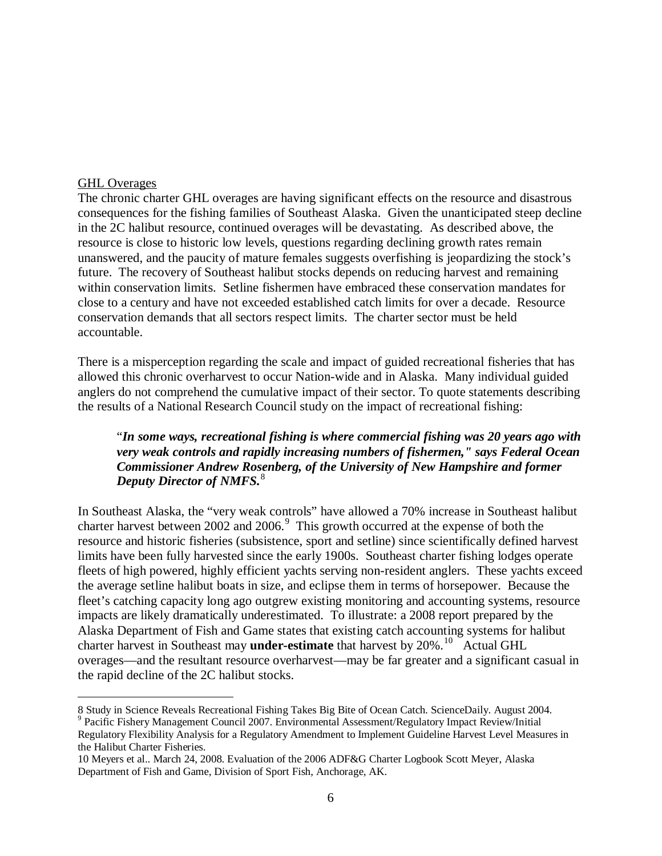### GHL Overages

The chronic charter GHL overages are having significant effects on the resource and disastrous consequences for the fishing families of Southeast Alaska. Given the unanticipated steep decline in the 2C halibut resource, continued overages will be devastating. As described above, the resource is close to historic low levels, questions regarding declining growth rates remain unanswered, and the paucity of mature females suggests overfishing is jeopardizing the stock's future. The recovery of Southeast halibut stocks depends on reducing harvest and remaining within conservation limits. Setline fishermen have embraced these conservation mandates for close to a century and have not exceeded established catch limits for over a decade. Resource conservation demands that all sectors respect limits. The charter sector must be held accountable.

There is a misperception regarding the scale and impact of guided recreational fisheries that has allowed this chronic overharvest to occur Nation-wide and in Alaska. Many individual guided anglers do not comprehend the cumulative impact of their sector. To quote statements describing the results of a National Research Council study on the impact of recreational fishing:

# "*In some ways, recreational fishing is where commercial fishing was 20 years ago with very weak controls and rapidly increasing numbers of fishermen," says Federal Ocean Commissioner Andrew Rosenberg, of the University of New Hampshire and former Deputy Director of NMFS.* [8](#page-5-0)

In Southeast Alaska, the "very weak controls" have allowed a 70% increase in Southeast halibut charter harvest between 2002 and 2006.<sup>[9](#page-5-1)</sup> This growth occurred at the expense of both the resource and historic fisheries (subsistence, sport and setline) since scientifically defined harvest limits have been fully harvested since the early 1900s. Southeast charter fishing lodges operate fleets of high powered, highly efficient yachts serving non-resident anglers. These yachts exceed the average setline halibut boats in size, and eclipse them in terms of horsepower. Because the fleet's catching capacity long ago outgrew existing monitoring and accounting systems, resource impacts are likely dramatically underestimated. To illustrate: a 2008 report prepared by the Alaska Department of Fish and Game states that existing catch accounting systems for halibut charter harvest in Southeast may **under-estimate** that harvest by 20%.<sup>[10](#page-5-2)</sup> Actual GHL overages—and the resultant resource overharvest—may be far greater and a significant casual in the rapid decline of the 2C halibut stocks.

<span id="page-5-0"></span> $\overline{a}$ <sup>8</sup> Study in Science Reveals Recreational Fishing Takes Big Bite of Ocean Catch. ScienceDaily. August 2004. <sup>9</sup> Pacific Fishery Management Council 2007. Environmental Assessment/Regulatory Impact Review/Initial

<span id="page-5-1"></span>Regulatory Flexibility Analysis for a Regulatory Amendment to Implement Guideline Harvest Level Measures in the Halibut Charter Fisheries.

<span id="page-5-2"></span><sup>10</sup> Meyers et al.. March 24, 2008. Evaluation of the 2006 ADF&G Charter Logbook Scott Meyer, Alaska Department of Fish and Game, Division of Sport Fish, Anchorage, AK.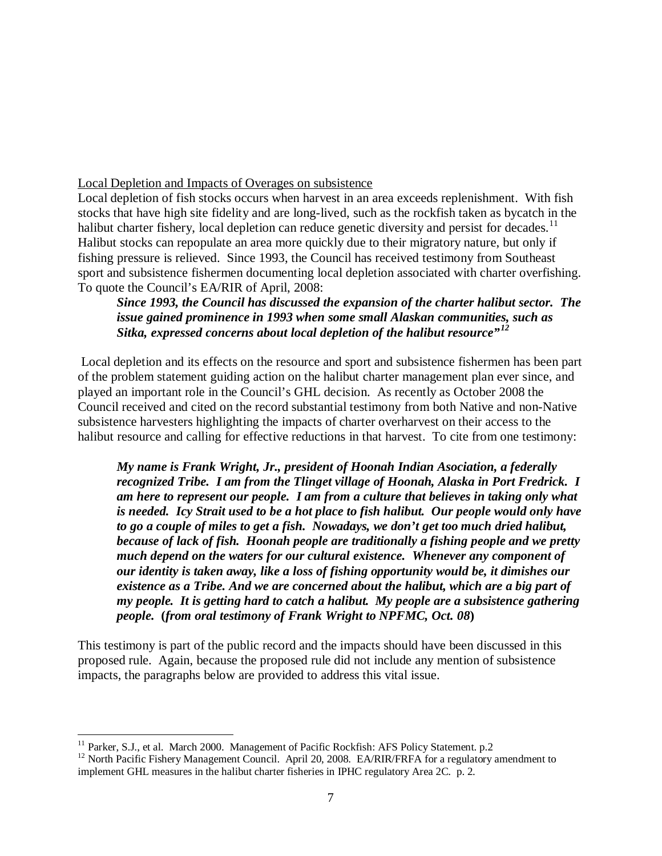Local Depletion and Impacts of Overages on subsistence

Local depletion of fish stocks occurs when harvest in an area exceeds replenishment. With fish stocks that have high site fidelity and are long-lived, such as the rockfish taken as bycatch in the halibut charter fishery, local depletion can reduce genetic diversity and persist for decades.<sup>[11](#page-6-0)</sup> Halibut stocks can repopulate an area more quickly due to their migratory nature, but only if fishing pressure is relieved. Since 1993, the Council has received testimony from Southeast sport and subsistence fishermen documenting local depletion associated with charter overfishing. To quote the Council's EA/RIR of April, 2008:

*Since 1993, the Council has discussed the expansion of the charter halibut sector. The issue gained prominence in 1993 when some small Alaskan communities, such as Sitka, expressed concerns about local depletion of the halibut resource" [12](#page-6-1)*

Local depletion and its effects on the resource and sport and subsistence fishermen has been part of the problem statement guiding action on the halibut charter management plan ever since, and played an important role in the Council's GHL decision. As recently as October 2008 the Council received and cited on the record substantial testimony from both Native and non-Native subsistence harvesters highlighting the impacts of charter overharvest on their access to the halibut resource and calling for effective reductions in that harvest. To cite from one testimony:

*My name is Frank Wright, Jr., president of Hoonah Indian Asociation, a federally recognized Tribe. I am from the Tlinget village of Hoonah, Alaska in Port Fredrick. I am here to represent our people. I am from a culture that believes in taking only what is needed. Icy Strait used to be a hot place to fish halibut. Our people would only have to go a couple of miles to get a fish. Nowadays, we don't get too much dried halibut, because of lack of fish. Hoonah people are traditionally a fishing people and we pretty much depend on the waters for our cultural existence. Whenever any component of our identity is taken away, like a loss of fishing opportunity would be, it dimishes our existence as a Tribe. And we are concerned about the halibut, which are a big part of my people. It is getting hard to catch a halibut. My people are a subsistence gathering people.* **(***from oral testimony of Frank Wright to NPFMC, Oct. 08***)**

This testimony is part of the public record and the impacts should have been discussed in this proposed rule. Again, because the proposed rule did not include any mention of subsistence impacts, the paragraphs below are provided to address this vital issue.

<span id="page-6-1"></span><span id="page-6-0"></span><sup>&</sup>lt;sup>11</sup> Parker, S.J., et al. March 2000. Management of Pacific Rockfish: AFS Policy Statement. p.2<br><sup>12</sup> North Pacific Fishery Management Council. April 20, 2008. EA/RIR/FRFA for a regulatory amendment to implement GHL measures in the halibut charter fisheries in IPHC regulatory Area 2C. p. 2.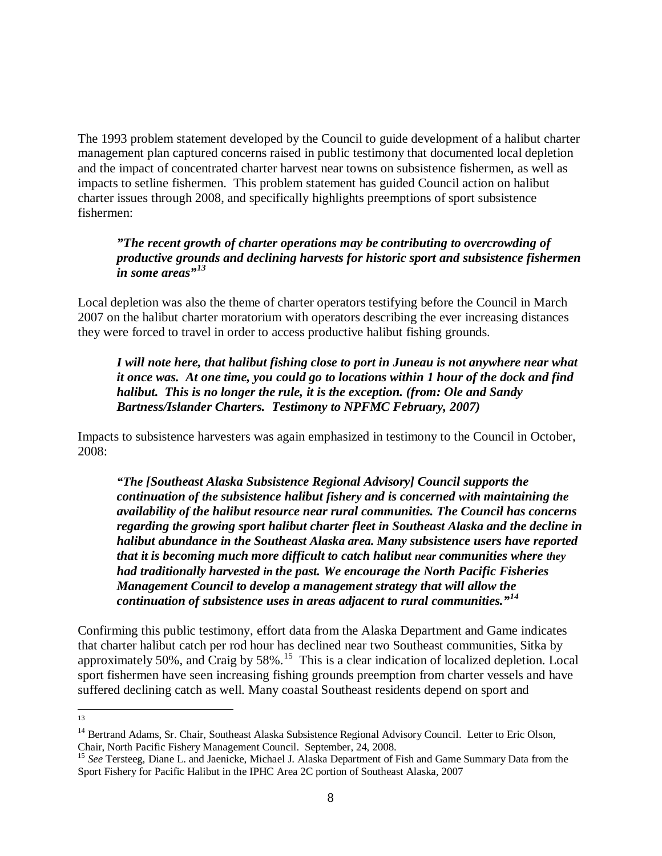The 1993 problem statement developed by the Council to guide development of a halibut charter management plan captured concerns raised in public testimony that documented local depletion and the impact of concentrated charter harvest near towns on subsistence fishermen, as well as impacts to setline fishermen. This problem statement has guided Council action on halibut charter issues through 2008, and specifically highlights preemptions of sport subsistence fishermen:

## *"The recent growth of charter operations may be contributing to overcrowding of productive grounds and declining harvests for historic sport and subsistence fishermen in some areas"[13](#page-7-0)*

Local depletion was also the theme of charter operators testifying before the Council in March 2007 on the halibut charter moratorium with operators describing the ever increasing distances they were forced to travel in order to access productive halibut fishing grounds.

# *I will note here, that halibut fishing close to port in Juneau is not anywhere near what it once was. At one time, you could go to locations within 1 hour of the dock and find halibut. This is no longer the rule, it is the exception. (from: Ole and Sandy Bartness/Islander Charters. Testimony to NPFMC February, 2007)*

Impacts to subsistence harvesters was again emphasized in testimony to the Council in October, 2008:

*"The [Southeast Alaska Subsistence Regional Advisory] Council supports the continuation of the subsistence halibut fishery and is concerned with maintaining the availability of the halibut resource near rural communities. The Council has concerns regarding the growing sport halibut charter fleet in Southeast Alaska and the decline in halibut abundance in the Southeast Alaska area. Many subsistence users have reported that it is becoming much more difficult to catch halibut near communities where they had traditionally harvested in the past. We encourage the North Pacific Fisheries Management Council to develop a management strategy that will allow the continuation of subsistence uses in areas adjacent to rural communities." [14](#page-7-1)*

Confirming this public testimony, effort data from the Alaska Department and Game indicates that charter halibut catch per rod hour has declined near two Southeast communities, Sitka by approximately 50%, and Craig by 58%.<sup>[15](#page-7-2)</sup> This is a clear indication of localized depletion. Local sport fishermen have seen increasing fishing grounds preemption from charter vessels and have suffered declining catch as well. Many coastal Southeast residents depend on sport and

 <sup>13</sup>

<span id="page-7-1"></span><span id="page-7-0"></span><sup>&</sup>lt;sup>14</sup> Bertrand Adams, Sr. Chair, Southeast Alaska Subsistence Regional Advisory Council. Letter to Eric Olson, Chair, North Pacific Fishery Management Council. September, 24, 2008. <sup>15</sup> *See* Tersteeg, Diane L. and Jaenicke, Michael J. Alaska Department of Fish and Game Summary Data from the

<span id="page-7-2"></span>Sport Fishery for Pacific Halibut in the IPHC Area 2C portion of Southeast Alaska, 2007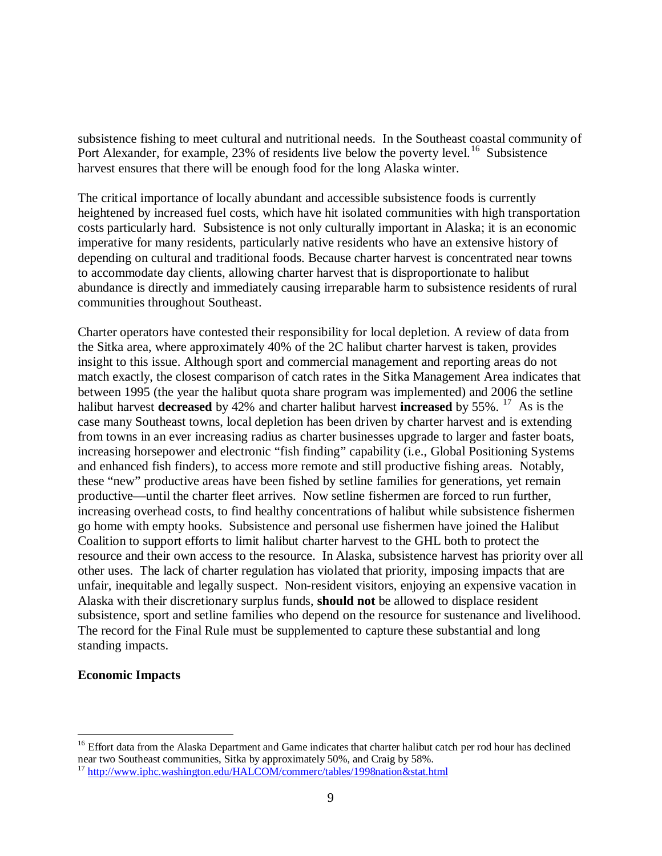subsistence fishing to meet cultural and nutritional needs. In the Southeast coastal community of Port Alexander, for example, 23% of residents live below the poverty level.<sup>[16](#page-8-0)</sup> Subsistence harvest ensures that there will be enough food for the long Alaska winter.

The critical importance of locally abundant and accessible subsistence foods is currently heightened by increased fuel costs, which have hit isolated communities with high transportation costs particularly hard. Subsistence is not only culturally important in Alaska; it is an economic imperative for many residents, particularly native residents who have an extensive history of depending on cultural and traditional foods. Because charter harvest is concentrated near towns to accommodate day clients, allowing charter harvest that is disproportionate to halibut abundance is directly and immediately causing irreparable harm to subsistence residents of rural communities throughout Southeast.

Charter operators have contested their responsibility for local depletion. A review of data from the Sitka area, where approximately 40% of the 2C halibut charter harvest is taken, provides insight to this issue. Although sport and commercial management and reporting areas do not match exactly, the closest comparison of catch rates in the Sitka Management Area indicates that between 1995 (the year the halibut quota share program was implemented) and 2006 the setline halibut harvest **decreased** by 42% and charter halibut harvest **increased** by 55%. [17](#page-8-1) As is the case many Southeast towns, local depletion has been driven by charter harvest and is extending from towns in an ever increasing radius as charter businesses upgrade to larger and faster boats, increasing horsepower and electronic "fish finding" capability (i.e., Global Positioning Systems and enhanced fish finders), to access more remote and still productive fishing areas. Notably, these "new" productive areas have been fished by setline families for generations, yet remain productive—until the charter fleet arrives. Now setline fishermen are forced to run further, increasing overhead costs, to find healthy concentrations of halibut while subsistence fishermen go home with empty hooks. Subsistence and personal use fishermen have joined the Halibut Coalition to support efforts to limit halibut charter harvest to the GHL both to protect the resource and their own access to the resource. In Alaska, subsistence harvest has priority over all other uses. The lack of charter regulation has violated that priority, imposing impacts that are unfair, inequitable and legally suspect. Non-resident visitors, enjoying an expensive vacation in Alaska with their discretionary surplus funds, **should not** be allowed to displace resident subsistence, sport and setline families who depend on the resource for sustenance and livelihood. The record for the Final Rule must be supplemented to capture these substantial and long standing impacts.

## **Economic Impacts**

<span id="page-8-0"></span><sup>&</sup>lt;sup>16</sup> Effort data from the Alaska Department and Game indicates that charter halibut catch per rod hour has declined near two Southeast communities, Sitka by approximately 50%, and Craig by 58%.

<span id="page-8-1"></span><sup>&</sup>lt;sup>17</sup> <http://www.iphc.washington.edu/HALCOM/commerc/tables/1998nation&stat.html>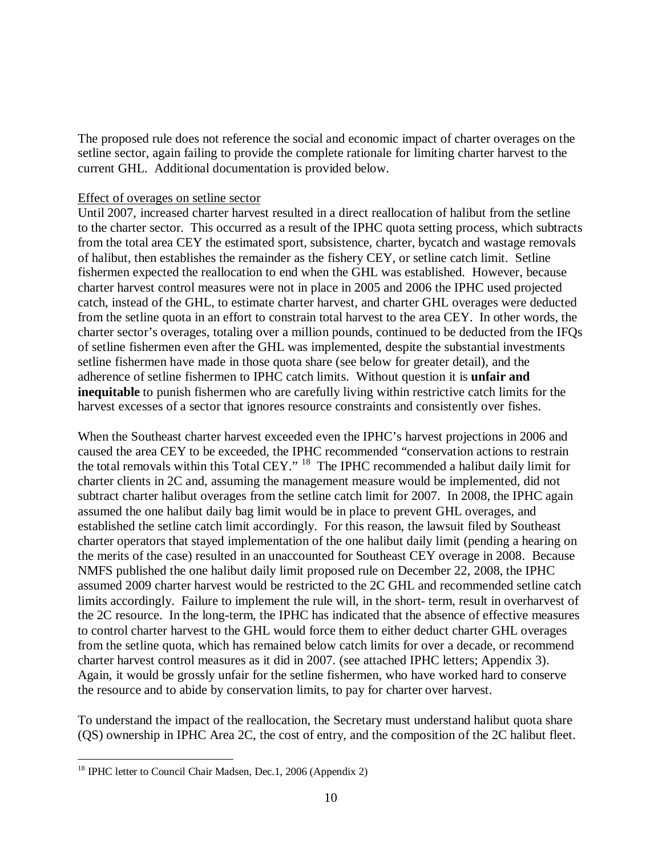The proposed rule does not reference the social and economic impact of charter overages on the setline sector, again failing to provide the complete rationale for limiting charter harvest to the current GHL. Additional documentation is provided below.

### Effect of overages on setline sector

Until 2007, increased charter harvest resulted in a direct reallocation of halibut from the setline to the charter sector. This occurred as a result of the IPHC quota setting process, which subtracts from the total area CEY the estimated sport, subsistence, charter, bycatch and wastage removals of halibut, then establishes the remainder as the fishery CEY, or setline catch limit. Setline fishermen expected the reallocation to end when the GHL was established. However, because charter harvest control measures were not in place in 2005 and 2006 the IPHC used projected catch, instead of the GHL, to estimate charter harvest, and charter GHL overages were deducted from the setline quota in an effort to constrain total harvest to the area CEY. In other words, the charter sector's overages, totaling over a million pounds, continued to be deducted from the IFQs of setline fishermen even after the GHL was implemented, despite the substantial investments setline fishermen have made in those quota share (see below for greater detail), and the adherence of setline fishermen to IPHC catch limits. Without question it is **unfair and inequitable** to punish fishermen who are carefully living within restrictive catch limits for the harvest excesses of a sector that ignores resource constraints and consistently over fishes.

When the Southeast charter harvest exceeded even the IPHC's harvest projections in 2006 and caused the area CEY to be exceeded, the IPHC recommended "conservation actions to restrain the total removals within this Total CEY." <sup>[18](#page-9-0)</sup> The IPHC recommended a halibut daily limit for charter clients in 2C and, assuming the management measure would be implemented, did not subtract charter halibut overages from the setline catch limit for 2007. In 2008, the IPHC again assumed the one halibut daily bag limit would be in place to prevent GHL overages, and established the setline catch limit accordingly. For this reason, the lawsuit filed by Southeast charter operators that stayed implementation of the one halibut daily limit (pending a hearing on the merits of the case) resulted in an unaccounted for Southeast CEY overage in 2008. Because NMFS published the one halibut daily limit proposed rule on December 22, 2008, the IPHC assumed 2009 charter harvest would be restricted to the 2C GHL and recommended setline catch limits accordingly. Failure to implement the rule will, in the short- term, result in overharvest of the 2C resource. In the long-term, the IPHC has indicated that the absence of effective measures to control charter harvest to the GHL would force them to either deduct charter GHL overages from the setline quota, which has remained below catch limits for over a decade, or recommend charter harvest control measures as it did in 2007. (see attached IPHC letters; Appendix 3). Again, it would be grossly unfair for the setline fishermen, who have worked hard to conserve the resource and to abide by conservation limits, to pay for charter over harvest.

To understand the impact of the reallocation, the Secretary must understand halibut quota share (QS) ownership in IPHC Area 2C, the cost of entry, and the composition of the 2C halibut fleet.

<span id="page-9-0"></span><sup>&</sup>lt;sup>18</sup> IPHC letter to Council Chair Madsen, Dec.1, 2006 (Appendix 2)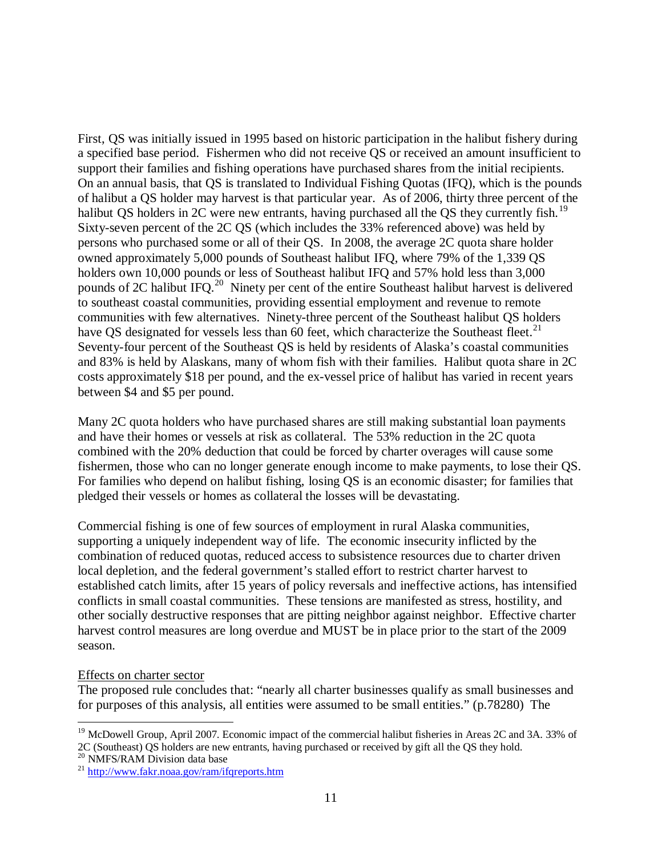First, QS was initially issued in 1995 based on historic participation in the halibut fishery during a specified base period. Fishermen who did not receive QS or received an amount insufficient to support their families and fishing operations have purchased shares from the initial recipients. On an annual basis, that QS is translated to Individual Fishing Quotas (IFQ), which is the pounds of halibut a QS holder may harvest is that particular year. As of 2006, thirty three percent of the halibut QS holders in 2C were new entrants, having purchased all the QS they currently fish.<sup>[19](#page-10-0)</sup> Sixty-seven percent of the 2C QS (which includes the 33% referenced above) was held by persons who purchased some or all of their QS. In 2008, the average 2C quota share holder owned approximately 5,000 pounds of Southeast halibut IFQ, where 79% of the 1,339 QS holders own 10,000 pounds or less of Southeast halibut IFQ and 57% hold less than 3,000 pounds of 2C halibut IFQ.[20](#page-10-1) Ninety per cent of the entire Southeast halibut harvest is delivered to southeast coastal communities, providing essential employment and revenue to remote communities with few alternatives. Ninety-three percent of the Southeast halibut QS holders have QS designated for vessels less than 60 feet, which characterize the Southeast fleet.<sup>[21](#page-10-2)</sup> Seventy-four percent of the Southeast QS is held by residents of Alaska's coastal communities and 83% is held by Alaskans, many of whom fish with their families. Halibut quota share in 2C costs approximately \$18 per pound, and the ex-vessel price of halibut has varied in recent years between \$4 and \$5 per pound.

Many 2C quota holders who have purchased shares are still making substantial loan payments and have their homes or vessels at risk as collateral. The 53% reduction in the 2C quota combined with the 20% deduction that could be forced by charter overages will cause some fishermen, those who can no longer generate enough income to make payments, to lose their QS. For families who depend on halibut fishing, losing QS is an economic disaster; for families that pledged their vessels or homes as collateral the losses will be devastating.

Commercial fishing is one of few sources of employment in rural Alaska communities, supporting a uniquely independent way of life. The economic insecurity inflicted by the combination of reduced quotas, reduced access to subsistence resources due to charter driven local depletion, and the federal government's stalled effort to restrict charter harvest to established catch limits, after 15 years of policy reversals and ineffective actions, has intensified conflicts in small coastal communities. These tensions are manifested as stress, hostility, and other socially destructive responses that are pitting neighbor against neighbor. Effective charter harvest control measures are long overdue and MUST be in place prior to the start of the 2009 season.

#### Effects on charter sector

The proposed rule concludes that: "nearly all charter businesses qualify as small businesses and for purposes of this analysis, all entities were assumed to be small entities." (p.78280) The

<span id="page-10-0"></span><sup>&</sup>lt;sup>19</sup> McDowell Group, April 2007. Economic impact of the commercial halibut fisheries in Areas 2C and 3A. 33% of 2C (Southeast) QS holders are new entrants, having purchased or received by gift all the QS they hold.<br><sup>20</sup> NMFS/RAM Division data base

<span id="page-10-2"></span><span id="page-10-1"></span> $^{21}$  <http://www.fakr.noaa.gov/ram/ifqreports.htm>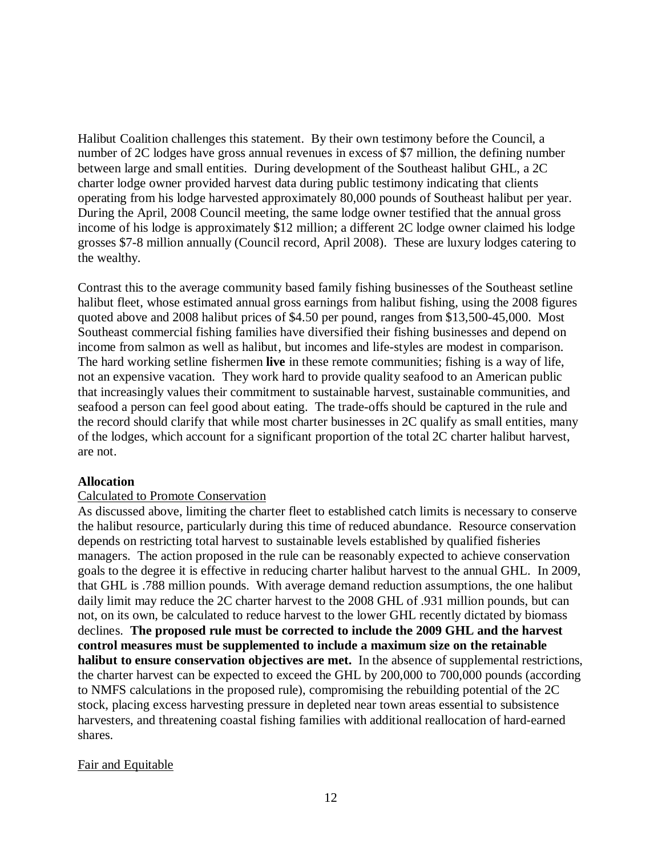Halibut Coalition challenges this statement. By their own testimony before the Council, a number of 2C lodges have gross annual revenues in excess of \$7 million, the defining number between large and small entities. During development of the Southeast halibut GHL, a 2C charter lodge owner provided harvest data during public testimony indicating that clients operating from his lodge harvested approximately 80,000 pounds of Southeast halibut per year. During the April, 2008 Council meeting, the same lodge owner testified that the annual gross income of his lodge is approximately \$12 million; a different 2C lodge owner claimed his lodge grosses \$7-8 million annually (Council record, April 2008). These are luxury lodges catering to the wealthy.

Contrast this to the average community based family fishing businesses of the Southeast setline halibut fleet, whose estimated annual gross earnings from halibut fishing, using the 2008 figures quoted above and 2008 halibut prices of \$4.50 per pound, ranges from \$13,500-45,000. Most Southeast commercial fishing families have diversified their fishing businesses and depend on income from salmon as well as halibut, but incomes and life-styles are modest in comparison. The hard working setline fishermen **live** in these remote communities; fishing is a way of life, not an expensive vacation. They work hard to provide quality seafood to an American public that increasingly values their commitment to sustainable harvest, sustainable communities, and seafood a person can feel good about eating. The trade-offs should be captured in the rule and the record should clarify that while most charter businesses in 2C qualify as small entities, many of the lodges, which account for a significant proportion of the total 2C charter halibut harvest, are not.

## **Allocation**

## Calculated to Promote Conservation

As discussed above, limiting the charter fleet to established catch limits is necessary to conserve the halibut resource, particularly during this time of reduced abundance. Resource conservation depends on restricting total harvest to sustainable levels established by qualified fisheries managers. The action proposed in the rule can be reasonably expected to achieve conservation goals to the degree it is effective in reducing charter halibut harvest to the annual GHL. In 2009, that GHL is .788 million pounds. With average demand reduction assumptions, the one halibut daily limit may reduce the 2C charter harvest to the 2008 GHL of .931 million pounds, but can not, on its own, be calculated to reduce harvest to the lower GHL recently dictated by biomass declines. **The proposed rule must be corrected to include the 2009 GHL and the harvest control measures must be supplemented to include a maximum size on the retainable halibut to ensure conservation objectives are met.** In the absence of supplemental restrictions, the charter harvest can be expected to exceed the GHL by 200,000 to 700,000 pounds (according to NMFS calculations in the proposed rule), compromising the rebuilding potential of the 2C stock, placing excess harvesting pressure in depleted near town areas essential to subsistence harvesters, and threatening coastal fishing families with additional reallocation of hard-earned shares.

#### Fair and Equitable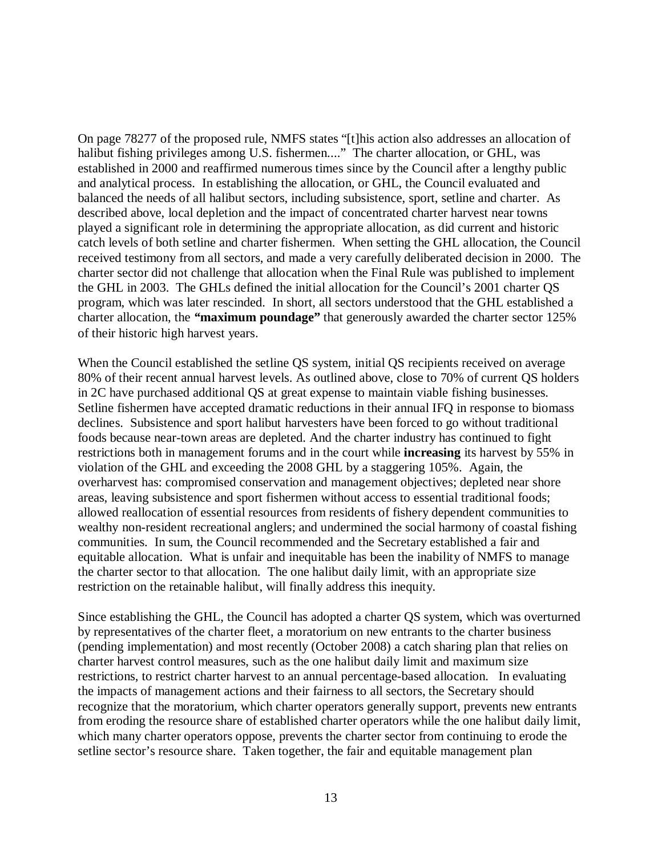On page 78277 of the proposed rule, NMFS states "[t]his action also addresses an allocation of halibut fishing privileges among U.S. fishermen...." The charter allocation, or GHL, was established in 2000 and reaffirmed numerous times since by the Council after a lengthy public and analytical process. In establishing the allocation, or GHL, the Council evaluated and balanced the needs of all halibut sectors, including subsistence, sport, setline and charter. As described above, local depletion and the impact of concentrated charter harvest near towns played a significant role in determining the appropriate allocation, as did current and historic catch levels of both setline and charter fishermen. When setting the GHL allocation, the Council received testimony from all sectors, and made a very carefully deliberated decision in 2000. The charter sector did not challenge that allocation when the Final Rule was published to implement the GHL in 2003. The GHLs defined the initial allocation for the Council's 2001 charter QS program, which was later rescinded. In short, all sectors understood that the GHL established a charter allocation, the *"***maximum poundage"** that generously awarded the charter sector 125% of their historic high harvest years.

When the Council established the setline QS system, initial QS recipients received on average 80% of their recent annual harvest levels. As outlined above, close to 70% of current QS holders in 2C have purchased additional QS at great expense to maintain viable fishing businesses. Setline fishermen have accepted dramatic reductions in their annual IFQ in response to biomass declines. Subsistence and sport halibut harvesters have been forced to go without traditional foods because near-town areas are depleted. And the charter industry has continued to fight restrictions both in management forums and in the court while **increasing** its harvest by 55% in violation of the GHL and exceeding the 2008 GHL by a staggering 105%. Again, the overharvest has: compromised conservation and management objectives; depleted near shore areas, leaving subsistence and sport fishermen without access to essential traditional foods; allowed reallocation of essential resources from residents of fishery dependent communities to wealthy non-resident recreational anglers; and undermined the social harmony of coastal fishing communities. In sum, the Council recommended and the Secretary established a fair and equitable allocation. What is unfair and inequitable has been the inability of NMFS to manage the charter sector to that allocation. The one halibut daily limit, with an appropriate size restriction on the retainable halibut, will finally address this inequity.

Since establishing the GHL, the Council has adopted a charter QS system, which was overturned by representatives of the charter fleet, a moratorium on new entrants to the charter business (pending implementation) and most recently (October 2008) a catch sharing plan that relies on charter harvest control measures, such as the one halibut daily limit and maximum size restrictions, to restrict charter harvest to an annual percentage-based allocation. In evaluating the impacts of management actions and their fairness to all sectors, the Secretary should recognize that the moratorium, which charter operators generally support, prevents new entrants from eroding the resource share of established charter operators while the one halibut daily limit, which many charter operators oppose, prevents the charter sector from continuing to erode the setline sector's resource share. Taken together, the fair and equitable management plan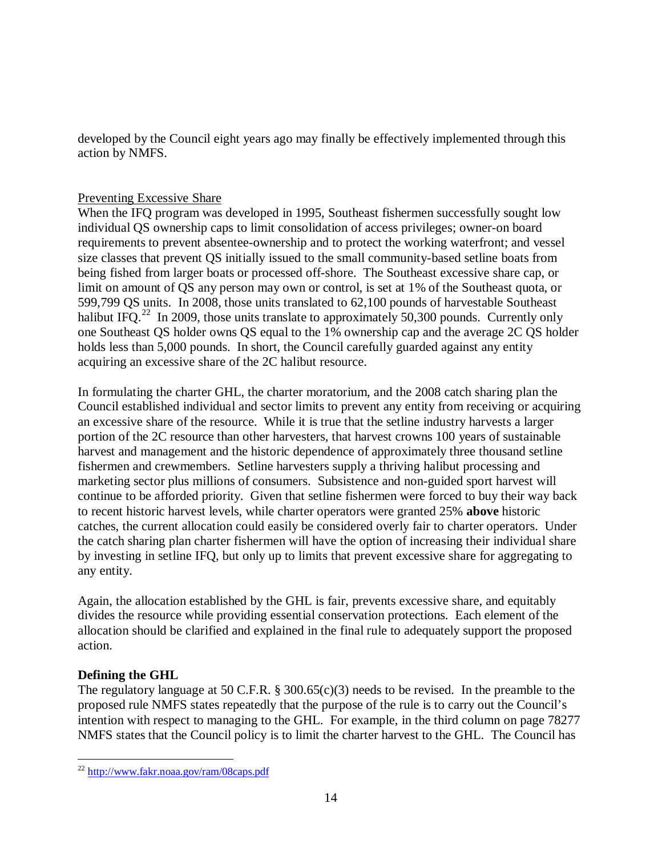developed by the Council eight years ago may finally be effectively implemented through this action by NMFS.

# **Preventing Excessive Share**

When the IFQ program was developed in 1995, Southeast fishermen successfully sought low individual QS ownership caps to limit consolidation of access privileges; owner-on board requirements to prevent absentee-ownership and to protect the working waterfront; and vessel size classes that prevent QS initially issued to the small community-based setline boats from being fished from larger boats or processed off-shore. The Southeast excessive share cap, or limit on amount of QS any person may own or control, is set at 1% of the Southeast quota, or 599,799 QS units. In 2008, those units translated to 62,100 pounds of harvestable Southeast halibut IFQ.<sup>[22](#page-13-0)</sup> In 2009, those units translate to approximately 50,300 pounds. Currently only one Southeast QS holder owns QS equal to the 1% ownership cap and the average 2C QS holder holds less than 5,000 pounds. In short, the Council carefully guarded against any entity acquiring an excessive share of the 2C halibut resource.

In formulating the charter GHL, the charter moratorium, and the 2008 catch sharing plan the Council established individual and sector limits to prevent any entity from receiving or acquiring an excessive share of the resource. While it is true that the setline industry harvests a larger portion of the 2C resource than other harvesters, that harvest crowns 100 years of sustainable harvest and management and the historic dependence of approximately three thousand setline fishermen and crewmembers. Setline harvesters supply a thriving halibut processing and marketing sector plus millions of consumers. Subsistence and non-guided sport harvest will continue to be afforded priority. Given that setline fishermen were forced to buy their way back to recent historic harvest levels, while charter operators were granted 25% **above** historic catches, the current allocation could easily be considered overly fair to charter operators. Under the catch sharing plan charter fishermen will have the option of increasing their individual share by investing in setline IFQ, but only up to limits that prevent excessive share for aggregating to any entity.

Again, the allocation established by the GHL is fair, prevents excessive share, and equitably divides the resource while providing essential conservation protections. Each element of the allocation should be clarified and explained in the final rule to adequately support the proposed action.

# **Defining the GHL**

The regulatory language at 50 C.F.R. § 300.65(c)(3) needs to be revised. In the preamble to the proposed rule NMFS states repeatedly that the purpose of the rule is to carry out the Council's intention with respect to managing to the GHL. For example, in the third column on page 78277 NMFS states that the Council policy is to limit the charter harvest to the GHL. The Council has

<span id="page-13-0"></span> <sup>22</sup> <http://www.fakr.noaa.gov/ram/08caps.pdf>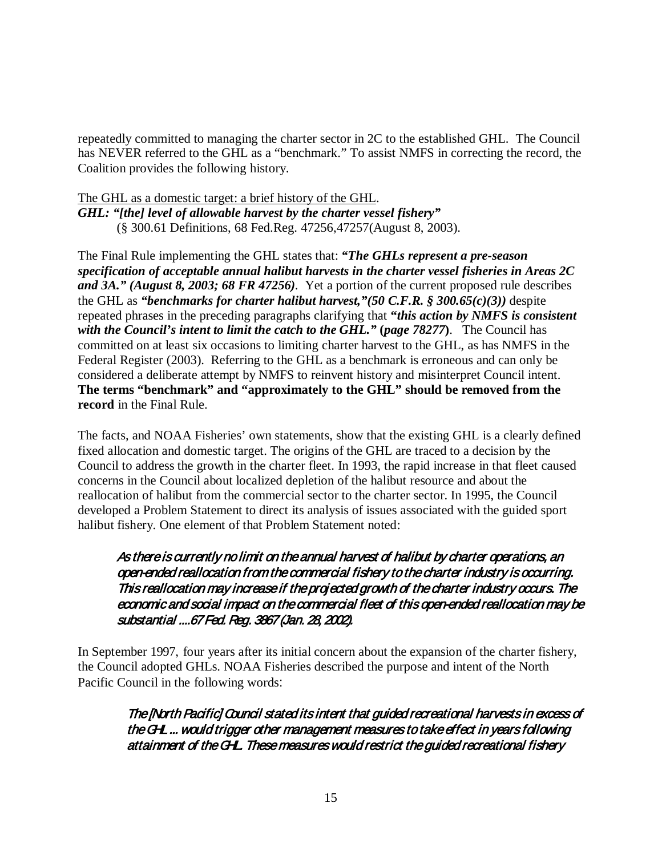repeatedly committed to managing the charter sector in 2C to the established GHL. The Council has NEVER referred to the GHL as a "benchmark." To assist NMFS in correcting the record, the Coalition provides the following history.

# The GHL as a domestic target: a brief history of the GHL.

*GHL: "[the] level of allowable harvest by the charter vessel fishery"*  (§ 300.61 Definitions, 68 Fed.Reg. 47256,47257(August 8, 2003).

The Final Rule implementing the GHL states that: *"The GHLs represent a pre-season specification of acceptable annual halibut harvests in the charter vessel fisheries in Areas 2C and 3A." (August 8, 2003; 68 FR 47256).* Yet a portion of the current proposed rule describes the GHL as *"benchmarks for charter halibut harvest,"(50 C.F.R. § 300.65(c)(3))* despite repeated phrases in the preceding paragraphs clarifying that **"***this action by NMFS is consistent with the Council's intent to limit the catch to the GHL."* **(***page 78277***)**. The Council has committed on at least six occasions to limiting charter harvest to the GHL, as has NMFS in the Federal Register (2003). Referring to the GHL as a benchmark is erroneous and can only be considered a deliberate attempt by NMFS to reinvent history and misinterpret Council intent. **The terms "benchmark" and "approximately to the GHL" should be removed from the record** in the Final Rule.

The facts, and NOAA Fisheries' own statements, show that the existing GHL is a clearly defined fixed allocation and domestic target. The origins of the GHL are traced to a decision by the Council to address the growth in the charter fleet. In 1993, the rapid increase in that fleet caused concerns in the Council about localized depletion of the halibut resource and about the reallocation of halibut from the commercial sector to the charter sector. In 1995, the Council developed a Problem Statement to direct its analysis of issues associated with the guided sport halibut fishery. One element of that Problem Statement noted:

# As there is currently no limit on the annual harvest of halibut by charter operations, an open-ended reallocation from the commercial fishery to the charter industry is occurring. This reallocation may increase if the projected growth of the charter industry occurs. The economic and social impact on the commercial fleet of this open-ended reallocation may be substantial ....67 Fed. Reg. 3867 (Jan. 28, 2002).

In September 1997, four years after its initial concern about the expansion of the charter fishery, the Council adopted GHLs. NOAA Fisheries described the purpose and intent of the North Pacific Council in the following words:

The [North Pacific] Council stated its intent that guided recreational harvests in excess of the GHL ... would trigger other management measures to take effect in years following attainment of the GHL. These measures would restrict the guided recreational fishery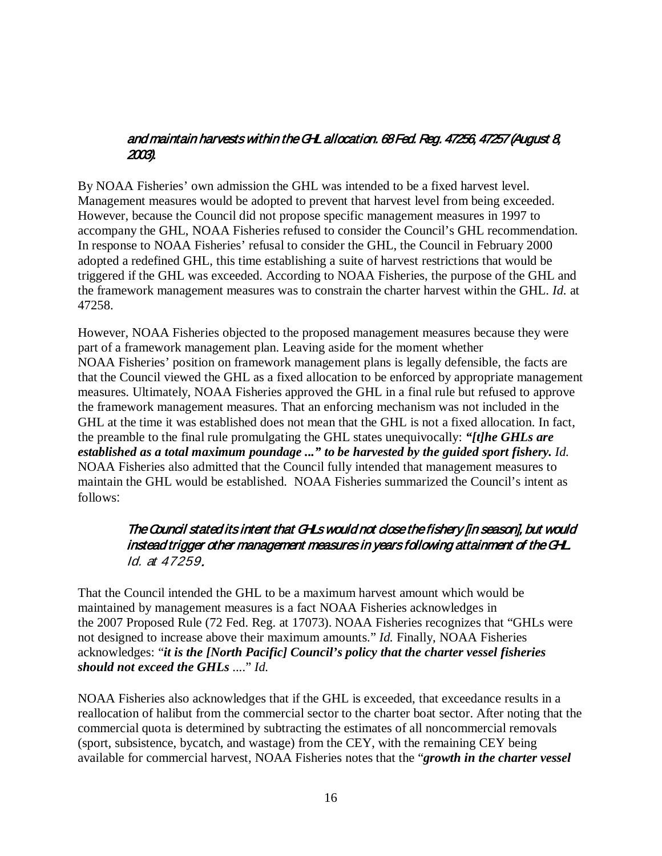# and maintain harvests within the GHL allocation. 68 Fed. Reg. 47256, 47257 (August 8, 2003).

By NOAA Fisheries' own admission the GHL was intended to be a fixed harvest level. Management measures would be adopted to prevent that harvest level from being exceeded. However, because the Council did not propose specific management measures in 1997 to accompany the GHL, NOAA Fisheries refused to consider the Council's GHL recommendation. In response to NOAA Fisheries' refusal to consider the GHL, the Council in February 2000 adopted a redefined GHL, this time establishing a suite of harvest restrictions that would be triggered if the GHL was exceeded. According to NOAA Fisheries, the purpose of the GHL and the framework management measures was to constrain the charter harvest within the GHL. *Id.* at 47258.

However, NOAA Fisheries objected to the proposed management measures because they were part of a framework management plan. Leaving aside for the moment whether NOAA Fisheries' position on framework management plans is legally defensible, the facts are that the Council viewed the GHL as a fixed allocation to be enforced by appropriate management measures. Ultimately, NOAA Fisheries approved the GHL in a final rule but refused to approve the framework management measures. That an enforcing mechanism was not included in the GHL at the time it was established does not mean that the GHL is not a fixed allocation. In fact, the preamble to the final rule promulgating the GHL states unequivocally: *"[t]he GHLs are established as a total maximum poundage ..." to be harvested by the guided sport fishery. Id.*  NOAA Fisheries also admitted that the Council fully intended that management measures to maintain the GHL would be established. NOAA Fisheries summarized the Council's intent as follows:

# The Council stated its intent that GHLs would not close the fishery [in season], but would instead trigger other management measures in years following attainment of the GHL. Id. at 47259.

That the Council intended the GHL to be a maximum harvest amount which would be maintained by management measures is a fact NOAA Fisheries acknowledges in the 2007 Proposed Rule (72 Fed. Reg. at 17073). NOAA Fisheries recognizes that "GHLs were not designed to increase above their maximum amounts." *Id.* Finally, NOAA Fisheries acknowledges: "*it is the [North Pacific] Council's policy that the charter vessel fisheries should not exceed the GHLs* ...." *Id.* 

NOAA Fisheries also acknowledges that if the GHL is exceeded, that exceedance results in a reallocation of halibut from the commercial sector to the charter boat sector. After noting that the commercial quota is determined by subtracting the estimates of all noncommercial removals (sport, subsistence, bycatch, and wastage) from the CEY, with the remaining CEY being available for commercial harvest, NOAA Fisheries notes that the "*growth in the charter vessel*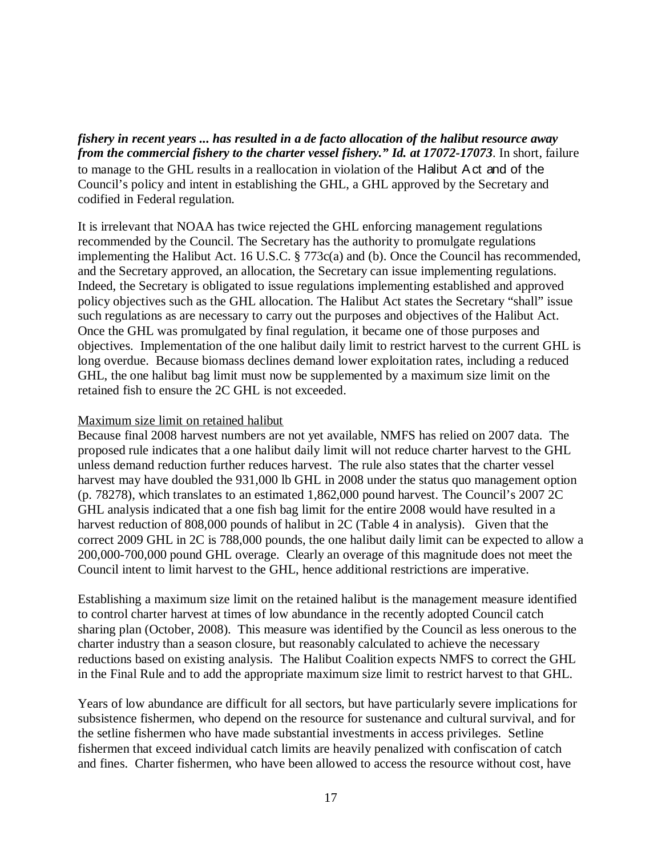*fishery in recent years ... has resulted in a de facto allocation of the halibut resource away from the commercial fishery to the charter vessel fishery." Id. at 17072-17073*. In short, failure to manage to the GHL results in a reallocation in violation of the Halibut Act and of the Council's policy and intent in establishing the GHL, a GHL approved by the Secretary and codified in Federal regulation.

It is irrelevant that NOAA has twice rejected the GHL enforcing management regulations recommended by the Council. The Secretary has the authority to promulgate regulations implementing the Halibut Act. 16 U.S.C. § 773c(a) and (b). Once the Council has recommended, and the Secretary approved, an allocation, the Secretary can issue implementing regulations. Indeed, the Secretary is obligated to issue regulations implementing established and approved policy objectives such as the GHL allocation. The Halibut Act states the Secretary "shall" issue such regulations as are necessary to carry out the purposes and objectives of the Halibut Act. Once the GHL was promulgated by final regulation, it became one of those purposes and objectives. Implementation of the one halibut daily limit to restrict harvest to the current GHL is long overdue. Because biomass declines demand lower exploitation rates, including a reduced GHL, the one halibut bag limit must now be supplemented by a maximum size limit on the retained fish to ensure the 2C GHL is not exceeded.

### Maximum size limit on retained halibut

Because final 2008 harvest numbers are not yet available, NMFS has relied on 2007 data. The proposed rule indicates that a one halibut daily limit will not reduce charter harvest to the GHL unless demand reduction further reduces harvest. The rule also states that the charter vessel harvest may have doubled the 931,000 lb GHL in 2008 under the status quo management option (p. 78278), which translates to an estimated 1,862,000 pound harvest. The Council's 2007 2C GHL analysis indicated that a one fish bag limit for the entire 2008 would have resulted in a harvest reduction of 808,000 pounds of halibut in 2C (Table 4 in analysis). Given that the correct 2009 GHL in 2C is 788,000 pounds, the one halibut daily limit can be expected to allow a 200,000-700,000 pound GHL overage. Clearly an overage of this magnitude does not meet the Council intent to limit harvest to the GHL, hence additional restrictions are imperative.

Establishing a maximum size limit on the retained halibut is the management measure identified to control charter harvest at times of low abundance in the recently adopted Council catch sharing plan (October, 2008). This measure was identified by the Council as less onerous to the charter industry than a season closure, but reasonably calculated to achieve the necessary reductions based on existing analysis. The Halibut Coalition expects NMFS to correct the GHL in the Final Rule and to add the appropriate maximum size limit to restrict harvest to that GHL.

Years of low abundance are difficult for all sectors, but have particularly severe implications for subsistence fishermen, who depend on the resource for sustenance and cultural survival, and for the setline fishermen who have made substantial investments in access privileges. Setline fishermen that exceed individual catch limits are heavily penalized with confiscation of catch and fines. Charter fishermen, who have been allowed to access the resource without cost, have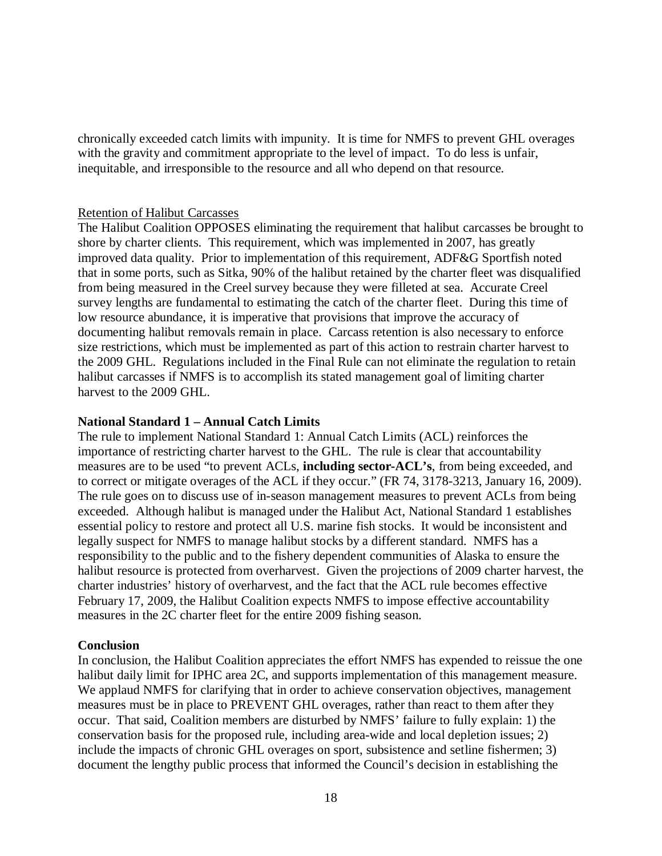chronically exceeded catch limits with impunity. It is time for NMFS to prevent GHL overages with the gravity and commitment appropriate to the level of impact. To do less is unfair, inequitable, and irresponsible to the resource and all who depend on that resource.

## Retention of Halibut Carcasses

The Halibut Coalition OPPOSES eliminating the requirement that halibut carcasses be brought to shore by charter clients. This requirement, which was implemented in 2007, has greatly improved data quality. Prior to implementation of this requirement, ADF&G Sportfish noted that in some ports, such as Sitka, 90% of the halibut retained by the charter fleet was disqualified from being measured in the Creel survey because they were filleted at sea. Accurate Creel survey lengths are fundamental to estimating the catch of the charter fleet. During this time of low resource abundance, it is imperative that provisions that improve the accuracy of documenting halibut removals remain in place. Carcass retention is also necessary to enforce size restrictions, which must be implemented as part of this action to restrain charter harvest to the 2009 GHL. Regulations included in the Final Rule can not eliminate the regulation to retain halibut carcasses if NMFS is to accomplish its stated management goal of limiting charter harvest to the 2009 GHL.

## **National Standard 1 – Annual Catch Limits**

The rule to implement National Standard 1: Annual Catch Limits (ACL) reinforces the importance of restricting charter harvest to the GHL. The rule is clear that accountability measures are to be used "to prevent ACLs, **including sector-ACL's**, from being exceeded, and to correct or mitigate overages of the ACL if they occur." (FR 74, 3178-3213, January 16, 2009). The rule goes on to discuss use of in-season management measures to prevent ACLs from being exceeded. Although halibut is managed under the Halibut Act, National Standard 1 establishes essential policy to restore and protect all U.S. marine fish stocks. It would be inconsistent and legally suspect for NMFS to manage halibut stocks by a different standard. NMFS has a responsibility to the public and to the fishery dependent communities of Alaska to ensure the halibut resource is protected from overharvest. Given the projections of 2009 charter harvest, the charter industries' history of overharvest, and the fact that the ACL rule becomes effective February 17, 2009, the Halibut Coalition expects NMFS to impose effective accountability measures in the 2C charter fleet for the entire 2009 fishing season.

#### **Conclusion**

In conclusion, the Halibut Coalition appreciates the effort NMFS has expended to reissue the one halibut daily limit for IPHC area 2C, and supports implementation of this management measure. We applaud NMFS for clarifying that in order to achieve conservation objectives, management measures must be in place to PREVENT GHL overages, rather than react to them after they occur. That said, Coalition members are disturbed by NMFS' failure to fully explain: 1) the conservation basis for the proposed rule, including area-wide and local depletion issues; 2) include the impacts of chronic GHL overages on sport, subsistence and setline fishermen; 3) document the lengthy public process that informed the Council's decision in establishing the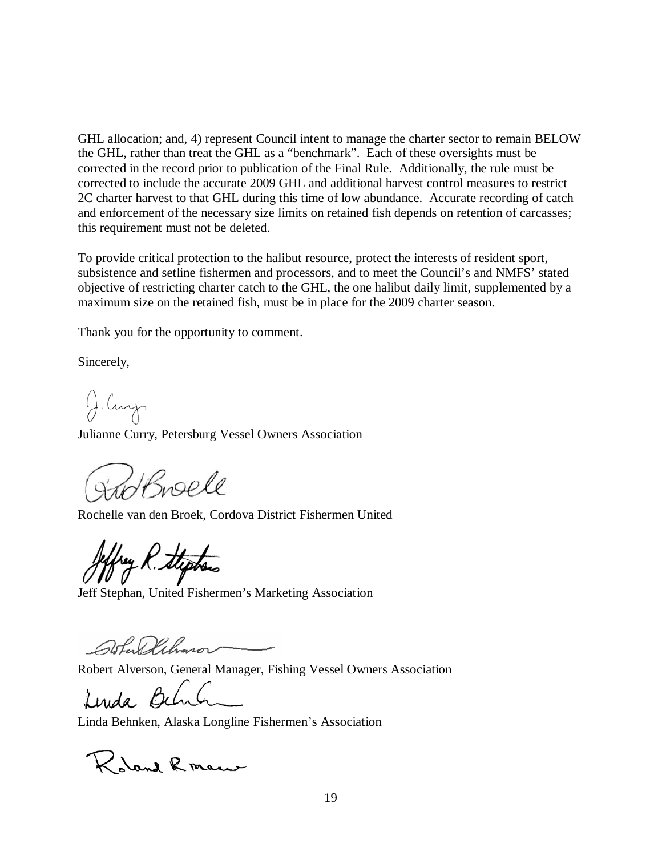GHL allocation; and, 4) represent Council intent to manage the charter sector to remain BELOW the GHL, rather than treat the GHL as a "benchmark". Each of these oversights must be corrected in the record prior to publication of the Final Rule. Additionally, the rule must be corrected to include the accurate 2009 GHL and additional harvest control measures to restrict 2C charter harvest to that GHL during this time of low abundance. Accurate recording of catch and enforcement of the necessary size limits on retained fish depends on retention of carcasses; this requirement must not be deleted.

To provide critical protection to the halibut resource, protect the interests of resident sport, subsistence and setline fishermen and processors, and to meet the Council's and NMFS' stated objective of restricting charter catch to the GHL, the one halibut daily limit, supplemented by a maximum size on the retained fish, must be in place for the 2009 charter season.

Thank you for the opportunity to comment.

Sincerely,

J. Curp

Julianne Curry, Petersburg Vessel Owners Association

Striffnell

Rochelle van den Broek, Cordova District Fishermen United

key R. Stephen

Jeff Stephan, United Fishermen's Marketing Association

Gofan Dahmor

Robert Alverson, General Manager, Fishing Vessel Owners Association

Linda Behrh

Linda Behnken, Alaska Longline Fishermen's Association

Robert Roman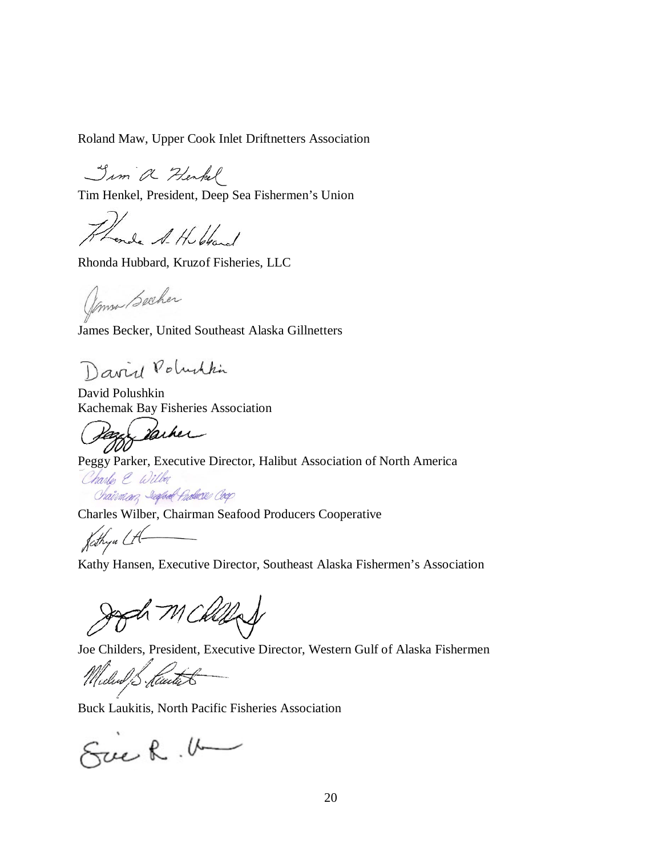Roland Maw, Upper Cook Inlet Driftnetters Association

Jim a Henkel

Tim Henkel, President, Deep Sea Fishermen's Union

Thonda A. H. bland

Rhonda Hubbard, Kruzof Fisheries, LLC

James Becher

James Becker, United Southeast Alaska Gillnetters

David Poluthin

David Polushkin

Kachemak Bay Fisheries Association<br>Page Vache

Peggy Parker, Executive Director, Halibut Association of North America

Charles & Wilber Chairman, Jespoel Produce Coop

Charles Wilber, Chairman Seafood Producers Cooperative<br> $\int_C f h_{\gamma} u \Delta$ 

Kathy Hansen, Executive Director, Southeast Alaska Fishermen's Association

Jagd Mckled

Joe Childers, President, Executive Director, Western Gulf of Alaska Fishermen

Milud Steath

Buck Laukitis, North Pacific Fisheries Association

Suck. U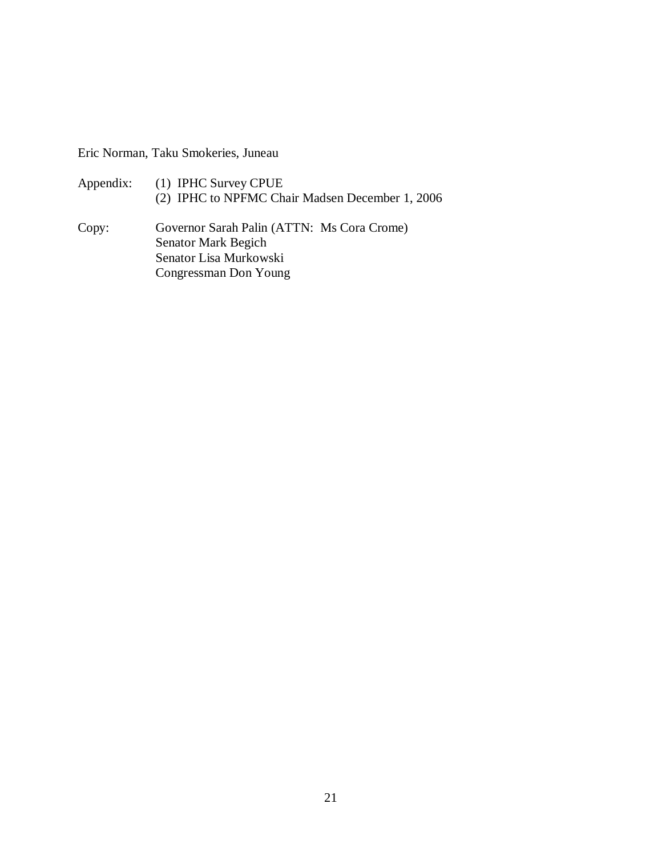Eric Norman, Taku Smokeries, Juneau

| Appendix: | (1) IPHC Survey CPUE<br>(2) IPHC to NPFMC Chair Madsen December 1, 2006                           |
|-----------|---------------------------------------------------------------------------------------------------|
| Copy:     | Governor Sarah Palin (ATTN: Ms Cora Crome)<br><b>Senator Mark Begich</b><br>Constant is Munkawaki |

Senator Lisa Murkowski Congressman Don Young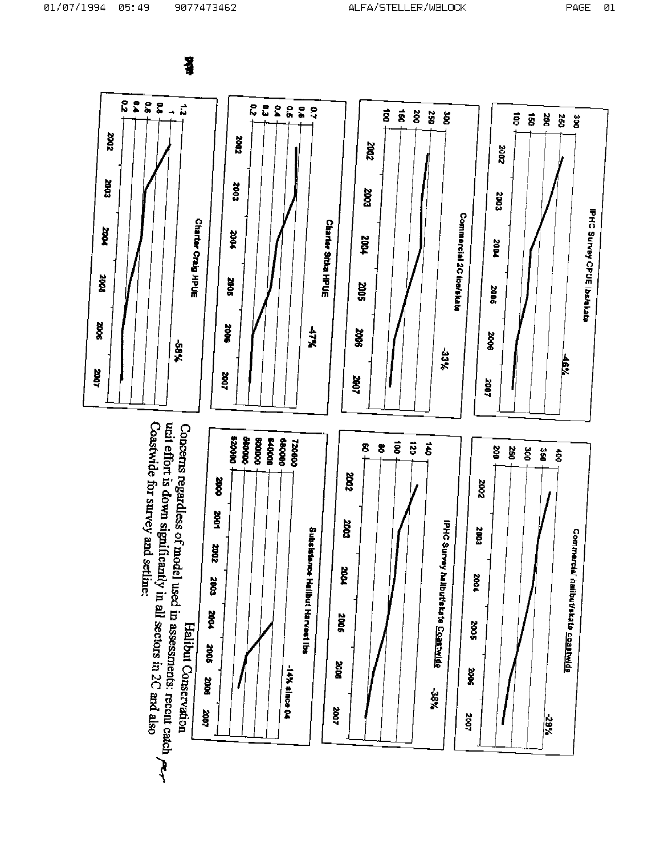Ŧ

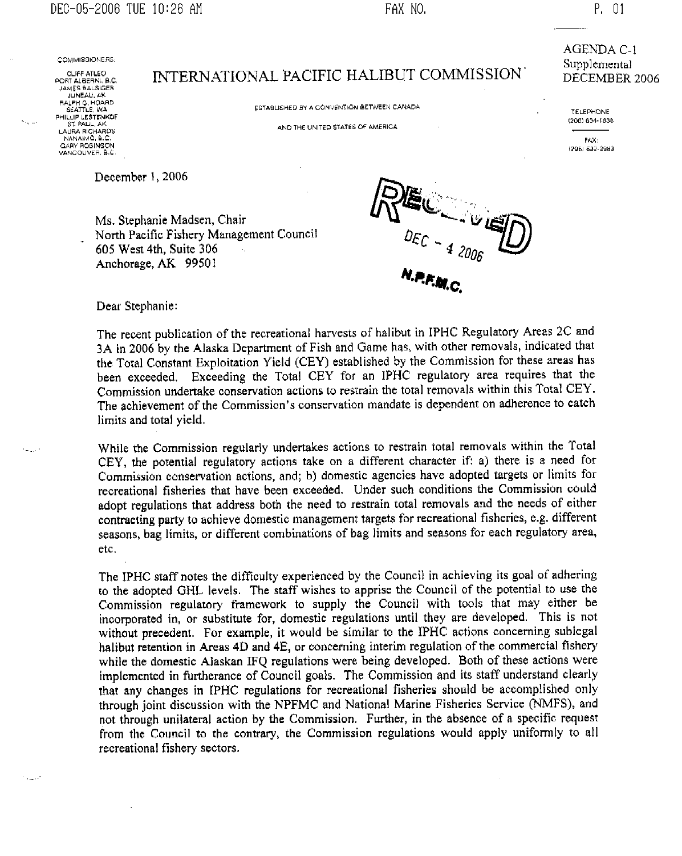DEC-05-2006 TUE 10:26 AM

FAX NO.

COMMISSIONERS:

CLIFF ATLEO PORT ALBERNI, B.C. JAMES BALSIGER JUNEAU, AK BALPH G. HOARD PHILLIP LESTENKOF LAURA RICHARDS NANAIMO B.C GARY ROBINSON<br>VANCOUVER, B.C

المريديات

INTERNATIONAL PACIFIC HALIBUT COMMISSION

ESTABLISHED BY A CONVENTION BETWEEN CANADA

AND THE UNITED STATES OF AMERICA

December 1, 2006

Ms. Stephanie Madsen, Chair North Pacific Fishery Management Council 605 West 4th, Suite 306 Anchorage, AK 99501



Dear Stephanie:

The recent publication of the recreational harvests of halibut in IPHC Regulatory Areas 2C and 3A in 2006 by the Alaska Department of Fish and Game has, with other removals, indicated that the Total Constant Exploitation Yield (CEY) established by the Commission for these areas has been exceeded. Exceeding the Total CEY for an IPHC regulatory area requires that the Commission undertake conservation actions to restrain the total removals within this Total CEY. The achievement of the Commission's conservation mandate is dependent on adherence to catch limits and total yield.

While the Commission regularly undertakes actions to restrain total removals within the Total CEY, the potential regulatory actions take on a different character if: a) there is a need for Commission conservation actions, and; b) domestic agencies have adopted targets or limits for recreational fisheries that have been exceeded. Under such conditions the Commission could adopt regulations that address both the need to restrain total removals and the needs of either contracting party to achieve domestic management targets for recreational fisheries, e.g. different seasons, bag limits, or different combinations of bag limits and seasons for each regulatory area, etc.

The IPHC staff notes the difficulty experienced by the Council in achieving its goal of adhering to the adopted GHL levels. The staff wishes to apprise the Council of the potential to use the Commission regulatory framework to supply the Council with tools that may either be incorporated in, or substitute for, domestic regulations until they are developed. This is not without precedent. For example, it would be similar to the IPHC actions concerning sublegal halibut retention in Areas 4D and 4E, or concerning interim regulation of the commercial fishery while the domestic Alaskan IFQ regulations were being developed. Both of these actions were implemented in furtherance of Council goals. The Commission and its staff understand clearly that any changes in IPHC regulations for recreational fisheries should be accomplished only through joint discussion with the NPFMC and National Marine Fisheries Service (NMFS), and not through unilateral action by the Commission. Further, in the absence of a specific request from the Council to the contrary, the Commission regulations would apply uniformly to all recreational fishery sectors.

**AGENDA C-1** Supplemental DECEMBER 2006

TELEPHONE (206) 634-1838

FAX:

(206) 632-2983